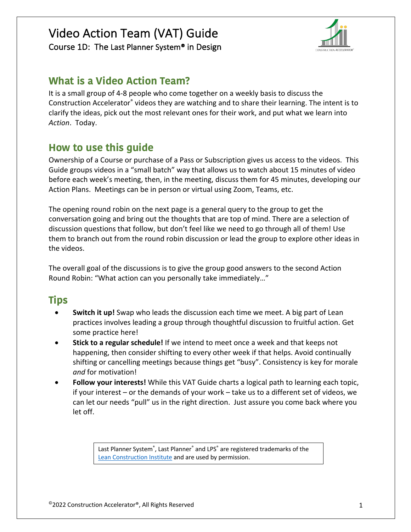



## **What is a Video Action Team?**

It is a small group of 4-8 people who come together on a weekly basis to discuss the Construction Accelerator® videos they are watching and to share their learning. The intent is to clarify the ideas, pick out the most relevant ones for their work, and put what we learn into *Action*. Today.

## **How to use this guide**

Ownership of a Course or purchase of a Pass or Subscription gives us access to the videos. This Guide groups videos in a "small batch" way that allows us to watch about 15 minutes of video before each week's meeting, then, in the meeting, discuss them for 45 minutes, developing our Action Plans. Meetings can be in person or virtual using Zoom, Teams, etc.

The opening round robin on the next page is a general query to the group to get the conversation going and bring out the thoughts that are top of mind. There are a selection of discussion questions that follow, but don't feel like we need to go through all of them! Use them to branch out from the round robin discussion or lead the group to explore other ideas in the videos.

The overall goal of the discussions is to give the group good answers to the second Action Round Robin: "What action can you personally take immediately…"

## **Tips**

- **Switch it up!** Swap who leads the discussion each time we meet. A big part of Lean practices involves leading a group through thoughtful discussion to fruitful action. Get some practice here!
- **Stick to a regular schedule!** If we intend to meet once a week and that keeps not happening, then consider shifting to every other week if that helps. Avoid continually shifting or cancelling meetings because things get "busy". Consistency is key for morale *and* for motivation!
- **Follow your interests!** While this VAT Guide charts a logical path to learning each topic, if your interest – or the demands of your work – take us to a different set of videos, we can let our needs "pull" us in the right direction. Just assure you come back where you let off.

Last Planner System®, Last Planner® and LPS® are registered trademarks of the Lean Construction Institute and are used by permission.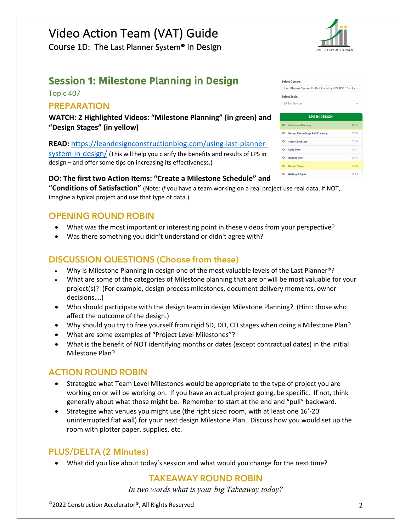#### Course 1D: The Last Planner System® in Design

## **Session 1: Milestone Planning in Design**

Topic 407

#### **PREPARATION**

**WATCH: 2 Highlighted Videos: "Milestone Planning" (in green) and "Design Stages" (in yellow)**

**READ:** https://leandesignconstructionblog.com/using-last-plannersystem-in-design/ (This will help you clarify the benefits and results of LPS in design – and offer some tips on increasing its effectiveness.)

#### **DO: The first two Action Items: "Create a Milestone Schedule" and**

**"Conditions of Satisfaction"** (Note: *if* you have a team working on a real project use real data, if NOT, imagine a typical project and use that type of data.)

#### **OPENING ROUND ROBIN**

- What was the most important or interesting point in these videos from your perspective?
- Was there something you didn't understand or didn't agree with?

#### **DISCUSSION QUESTIONS (Choose from these)**

- Why is Milestone Planning in design one of the most valuable levels of the Last Planner®?
- What are some of the categories of Milestone planning that are or will be most valuable for your project(s)? (For example, design process milestones, document delivery moments, owner decisions….)
- Who should participate with the design team in design Milestone Planning? (Hint: those who affect the outcome of the design.)
- Why should you try to free yourself from rigid SD, DD, CD stages when doing a Milestone Plan?
- What are some examples of "Project Level Milestones"?
- What is the benefit of NOT identifying months or dates (except contractual dates) in the initial Milestone Plan?

#### **ACTION ROUND ROBIN**

- Strategize what Team Level Milestones would be appropriate to the type of project you are working on or will be working on. If you have an actual project going, be specific. If not, think generally about what those might be. Remember to start at the end and "pull" backward.
- Strategize what venues you might use (the right sized room, with at least one 16'-20' uninterrupted flat wall) for your next design Milestone Plan. Discuss how you would set up the room with plotter paper, supplies, etc.

#### **PLUS/DELTA (2 Minutes)**

• What did you like about today's session and what would you change for the next time?

#### **TAKEAWAY ROUND ROBIN**

*In two words what is your big Takeaway today?*

| <b>Select Course:</b> |                                                        |       |  |  |  |
|-----------------------|--------------------------------------------------------|-------|--|--|--|
|                       | Last Planner System® - Pull Planning: COURSE 1D - La + |       |  |  |  |
| <b>Select Topic:</b>  |                                                        |       |  |  |  |
|                       | LPS in Design                                          |       |  |  |  |
|                       |                                                        |       |  |  |  |
| <b>LPS IN DESIGN</b>  |                                                        |       |  |  |  |
| o                     | <b>Milestone Planning</b>                              | 10:15 |  |  |  |
| o                     | Design Phase-Stage Pull Planning                       | 09.09 |  |  |  |
| Q                     | <b>Stage Check-Ins</b>                                 | 07:36 |  |  |  |
| o                     | <b>Early Days</b>                                      | 04:31 |  |  |  |
| o                     | Dont do this!                                          | 08:45 |  |  |  |
| Ο                     | <b>Design Stages</b>                                   | 05:00 |  |  |  |
| ο                     | <b>Getting it Right</b>                                | 05:54 |  |  |  |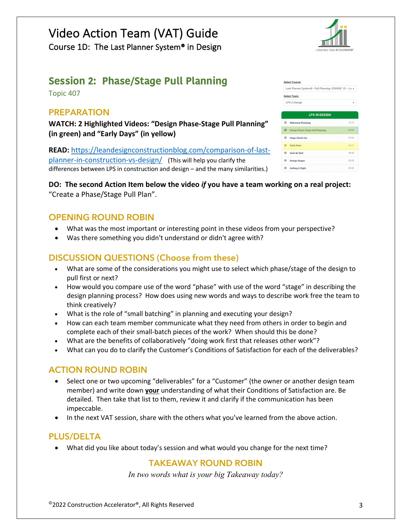#### Course 1D: The Last Planner System® in Design

## **Session 2: Phase/Stage Pull Planning**

Topic 407

#### **PREPARATION**

**WATCH: 2 Highlighted Videos: "Design Phase-Stage Pull Planning" (in green) and "Early Days" (in yellow)**

**READ:** https://leandesignconstructionblog.com/comparison-of-lastplanner-in-construction-vs-design/ (This will help you clarify the differences between LPS in construction and design – and the many similarities.)

| <b>Select Course:</b><br>Last Planner System® - Pull Planning: COURSE 1D - La + |                                  |       |  |  |
|---------------------------------------------------------------------------------|----------------------------------|-------|--|--|
|                                                                                 | <b>Select Topic:</b>             |       |  |  |
| LPS in Design                                                                   |                                  |       |  |  |
| <b>LPS IN DESIGN</b>                                                            |                                  |       |  |  |
| O                                                                               | <b>Milestone Planning</b>        | 10:15 |  |  |
| $\bullet$                                                                       | Design Phase-Stage Pull Planning | 09:09 |  |  |
| O                                                                               | <b>Stage Check-Ins</b>           | 07:36 |  |  |
| ۵                                                                               | <b>Early Days</b>                | 04:31 |  |  |
| o                                                                               | Dont do this!                    | 08:45 |  |  |
| ٥                                                                               | <b>Design Stages</b>             | 05:00 |  |  |
| ο                                                                               | <b>Getting it Right</b>          | 05:54 |  |  |

**DO: The second Action Item below the video** *if* **you have a team working on a real project:** "Create a Phase/Stage Pull Plan".

#### **OPENING ROUND ROBIN**

- What was the most important or interesting point in these videos from your perspective?
- Was there something you didn't understand or didn't agree with?

#### **DISCUSSION QUESTIONS (Choose from these)**

- What are some of the considerations you might use to select which phase/stage of the design to pull first or next?
- How would you compare use of the word "phase" with use of the word "stage" in describing the design planning process? How does using new words and ways to describe work free the team to think creatively?
- What is the role of "small batching" in planning and executing your design?
- How can each team member communicate what they need from others in order to begin and complete each of their small-batch pieces of the work? When should this be done?
- What are the benefits of collaboratively "doing work first that releases other work"?
- What can you do to clarify the Customer's Conditions of Satisfaction for each of the deliverables?

#### **ACTION ROUND ROBIN**

- Select one or two upcoming "deliverables" for a "Customer" (the owner or another design team member) and write down **your** understanding of what their Conditions of Satisfaction are. Be detailed. Then take that list to them, review it and clarify if the communication has been impeccable.
- In the next VAT session, share with the others what you've learned from the above action.

#### **PLUS/DELTA**

• What did you like about today's session and what would you change for the next time?

#### **TAKEAWAY ROUND ROBIN**

*In two words what is your big Takeaway today?*